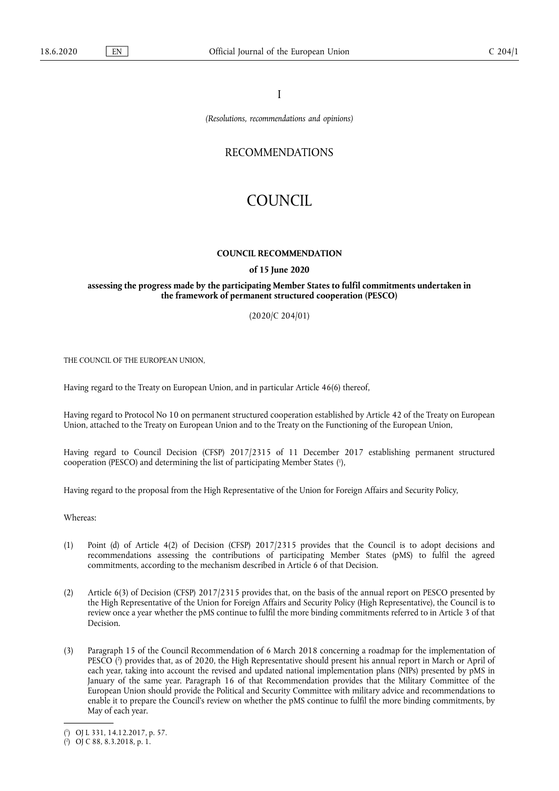I

*(Resolutions, recommendations and opinions)* 

## RECOMMENDATIONS

# COUNCIL

#### **COUNCIL RECOMMENDATION**

#### **of 15 June 2020**

### **assessing the progress made by the participating Member States to fulfil commitments undertaken in the framework of permanent structured cooperation (PESCO)**

(2020/C 204/01)

THE COUNCIL OF THE EUROPEAN UNION,

Having regard to the Treaty on European Union, and in particular Article 46(6) thereof,

Having regard to Protocol No 10 on permanent structured cooperation established by Article 42 of the Treaty on European Union, attached to the Treaty on European Union and to the Treaty on the Functioning of the European Union,

<span id="page-0-2"></span>Having regard to Council Decision (CFSP) 2017/2315 of 11 December 2017 establishing permanent structured cooperation (PESCO) and determining the list of participating Member States [\(](#page-0-0) 1 ),

Having regard to the proposal from the High Representative of the Union for Foreign Affairs and Security Policy,

Whereas:

- (1) Point (d) of Article 4(2) of Decision (CFSP) 2017/2315 provides that the Council is to adopt decisions and recommendations assessing the contributions of participating Member States (pMS) to fulfil the agreed commitments, according to the mechanism described in Article 6 of that Decision.
- (2) Article 6(3) of Decision (CFSP) 2017/2315 provides that, on the basis of the annual report on PESCO presented by the High Representative of the Union for Foreign Affairs and Security Policy (High Representative), the Council is to review once a year whether the pMS continue to fulfil the more binding commitments referred to in Article 3 of that Decision.
- <span id="page-0-3"></span>(3) Paragraph 15 of the Council Recommendation of 6 March 2018 concerning a roadmap for the implementation of PESCO [\(](#page-0-1) 2 ) provides that, as of 2020, the High Representative should present his annual report in March or April of each year, taking into account the revised and updated national implementation plans (NIPs) presented by pMS in January of the same year. Paragraph 16 of that Recommendation provides that the Military Committee of the European Union should provide the Political and Security Committee with military advice and recommendations to enable it to prepare the Council's review on whether the pMS continue to fulfil the more binding commitments, by May of each year.

<span id="page-0-0"></span>[<sup>\(</sup>](#page-0-2) 1 ) OJ L 331, 14.12.2017, p. 57.

<span id="page-0-1"></span><sup>(</sup> 2 [\)](#page-0-3) OJ C 88, 8.3.2018, p. 1.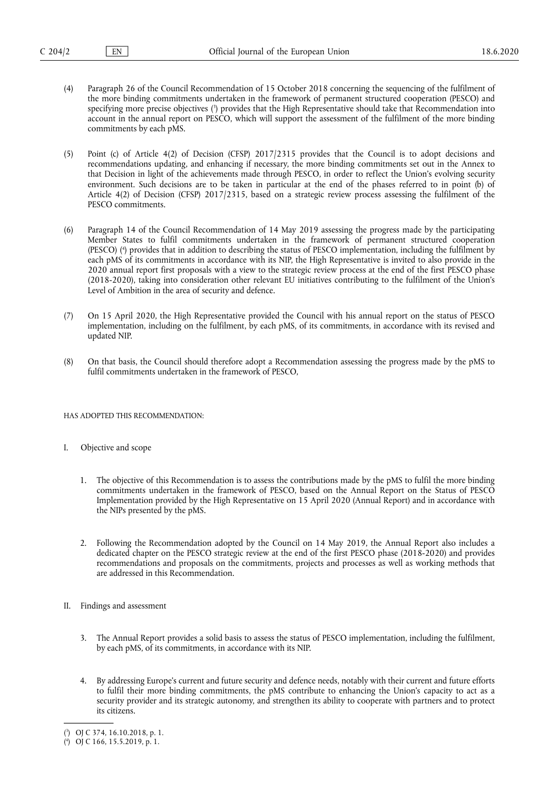- <span id="page-1-2"></span>(4) Paragraph 26 of the Council Recommendation of 15 October 2018 concerning the sequencing of the fulfilment of the more binding commitments undertaken in the framework of permanent structured cooperation (PESCO) and specifying more precise objectives [\(](#page-1-0) 3 ) provides that the High Representative should take that Recommendation into account in the annual report on PESCO, which will support the assessment of the fulfilment of the more binding commitments by each pMS.
- (5) Point (c) of Article 4(2) of Decision (CFSP) 2017/2315 provides that the Council is to adopt decisions and recommendations updating, and enhancing if necessary, the more binding commitments set out in the Annex to that Decision in light of the achievements made through PESCO, in order to reflect the Union's evolving security environment. Such decisions are to be taken in particular at the end of the phases referred to in point (b) of Article 4(2) of Decision (CFSP) 2017/2315, based on a strategic review process assessing the fulfilment of the PESCO commitments.
- <span id="page-1-3"></span>(6) Paragraph 14 of the Council Recommendation of 14 May 2019 assessing the progress made by the participating Member States to fulfil commitments undertaken in the framework of permanent structured cooperation (PESCO) [\(](#page-1-1) 4 ) provides that in addition to describing the status of PESCO implementation, including the fulfilment by each pMS of its commitments in accordance with its NIP, the High Representative is invited to also provide in the 2020 annual report first proposals with a view to the strategic review process at the end of the first PESCO phase (2018-2020), taking into consideration other relevant EU initiatives contributing to the fulfilment of the Union's Level of Ambition in the area of security and defence.
- (7) On 15 April 2020, the High Representative provided the Council with his annual report on the status of PESCO implementation, including on the fulfilment, by each pMS, of its commitments, in accordance with its revised and updated NIP.
- (8) On that basis, the Council should therefore adopt a Recommendation assessing the progress made by the pMS to fulfil commitments undertaken in the framework of PESCO,

HAS ADOPTED THIS RECOMMENDATION:

- I. Objective and scope
	- 1. The objective of this Recommendation is to assess the contributions made by the pMS to fulfil the more binding commitments undertaken in the framework of PESCO, based on the Annual Report on the Status of PESCO Implementation provided by the High Representative on 15 April 2020 (Annual Report) and in accordance with the NIPs presented by the pMS.
	- 2. Following the Recommendation adopted by the Council on 14 May 2019, the Annual Report also includes a dedicated chapter on the PESCO strategic review at the end of the first PESCO phase (2018-2020) and provides recommendations and proposals on the commitments, projects and processes as well as working methods that are addressed in this Recommendation.
- II. Findings and assessment
	- 3. The Annual Report provides a solid basis to assess the status of PESCO implementation, including the fulfilment, by each pMS, of its commitments, in accordance with its NIP.
	- 4. By addressing Europe's current and future security and defence needs, notably with their current and future efforts to fulfil their more binding commitments, the pMS contribute to enhancing the Union's capacity to act as a security provider and its strategic autonomy, and strengthen its ability to cooperate with partners and to protect its citizens.

<span id="page-1-0"></span>[<sup>\(</sup>](#page-1-2) 3 ) OJ C 374, 16.10.2018, p. 1.

<span id="page-1-1"></span><sup>(</sup> 4 [\)](#page-1-3) OJ C 166, 15.5.2019, p. 1.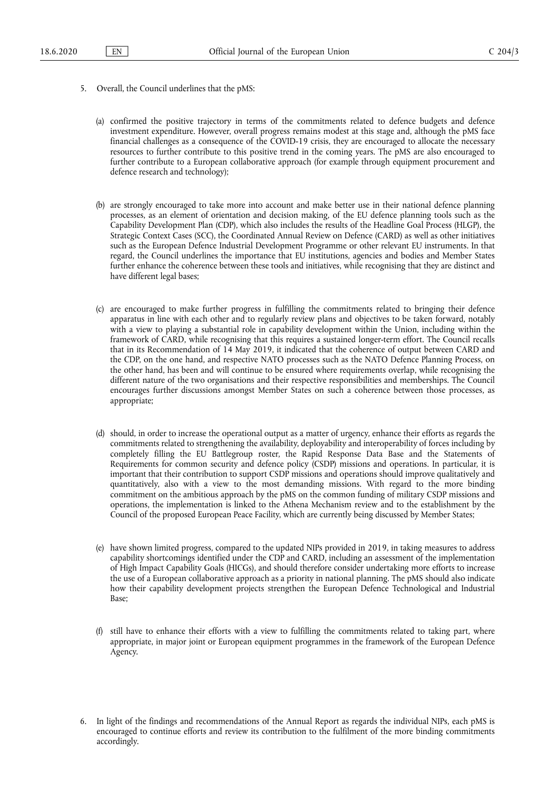- 5. Overall, the Council underlines that the pMS:
	- (a) confirmed the positive trajectory in terms of the commitments related to defence budgets and defence investment expenditure. However, overall progress remains modest at this stage and, although the pMS face financial challenges as a consequence of the COVID-19 crisis, they are encouraged to allocate the necessary resources to further contribute to this positive trend in the coming years. The pMS are also encouraged to further contribute to a European collaborative approach (for example through equipment procurement and defence research and technology);
	- (b) are strongly encouraged to take more into account and make better use in their national defence planning processes, as an element of orientation and decision making, of the EU defence planning tools such as the Capability Development Plan (CDP), which also includes the results of the Headline Goal Process (HLGP), the Strategic Context Cases (SCC), the Coordinated Annual Review on Defence (CARD) as well as other initiatives such as the European Defence Industrial Development Programme or other relevant EU instruments. In that regard, the Council underlines the importance that EU institutions, agencies and bodies and Member States further enhance the coherence between these tools and initiatives, while recognising that they are distinct and have different legal bases;
	- (c) are encouraged to make further progress in fulfilling the commitments related to bringing their defence apparatus in line with each other and to regularly review plans and objectives to be taken forward, notably with a view to playing a substantial role in capability development within the Union, including within the framework of CARD, while recognising that this requires a sustained longer-term effort. The Council recalls that in its Recommendation of 14 May 2019, it indicated that the coherence of output between CARD and the CDP, on the one hand, and respective NATO processes such as the NATO Defence Planning Process, on the other hand, has been and will continue to be ensured where requirements overlap, while recognising the different nature of the two organisations and their respective responsibilities and memberships. The Council encourages further discussions amongst Member States on such a coherence between those processes, as appropriate;
	- (d) should, in order to increase the operational output as a matter of urgency, enhance their efforts as regards the commitments related to strengthening the availability, deployability and interoperability of forces including by completely filling the EU Battlegroup roster, the Rapid Response Data Base and the Statements of Requirements for common security and defence policy (CSDP) missions and operations. In particular, it is important that their contribution to support CSDP missions and operations should improve qualitatively and quantitatively, also with a view to the most demanding missions. With regard to the more binding commitment on the ambitious approach by the pMS on the common funding of military CSDP missions and operations, the implementation is linked to the Athena Mechanism review and to the establishment by the Council of the proposed European Peace Facility, which are currently being discussed by Member States;
	- (e) have shown limited progress, compared to the updated NIPs provided in 2019, in taking measures to address capability shortcomings identified under the CDP and CARD, including an assessment of the implementation of High Impact Capability Goals (HICGs), and should therefore consider undertaking more efforts to increase the use of a European collaborative approach as a priority in national planning. The pMS should also indicate how their capability development projects strengthen the European Defence Technological and Industrial Base;
	- (f) still have to enhance their efforts with a view to fulfilling the commitments related to taking part, where appropriate, in major joint or European equipment programmes in the framework of the European Defence Agency.
- 6. In light of the findings and recommendations of the Annual Report as regards the individual NIPs, each pMS is encouraged to continue efforts and review its contribution to the fulfilment of the more binding commitments accordingly.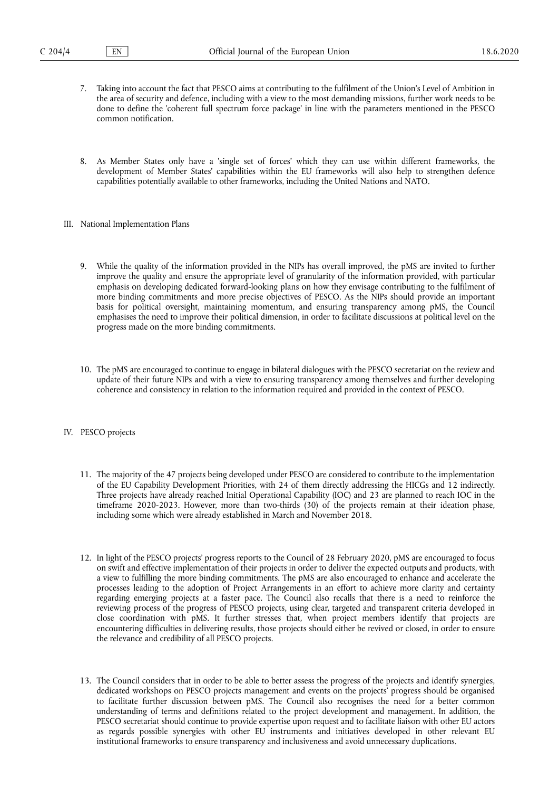- 7. Taking into account the fact that PESCO aims at contributing to the fulfilment of the Union's Level of Ambition in the area of security and defence, including with a view to the most demanding missions, further work needs to be done to define the 'coherent full spectrum force package' in line with the parameters mentioned in the PESCO common notification.
- 8. As Member States only have a 'single set of forces' which they can use within different frameworks, the development of Member States' capabilities within the EU frameworks will also help to strengthen defence capabilities potentially available to other frameworks, including the United Nations and NATO.
- III. National Implementation Plans
	- 9. While the quality of the information provided in the NIPs has overall improved, the pMS are invited to further improve the quality and ensure the appropriate level of granularity of the information provided, with particular emphasis on developing dedicated forward-looking plans on how they envisage contributing to the fulfilment of more binding commitments and more precise objectives of PESCO. As the NIPs should provide an important basis for political oversight, maintaining momentum, and ensuring transparency among pMS, the Council emphasises the need to improve their political dimension, in order to facilitate discussions at political level on the progress made on the more binding commitments.
	- 10. The pMS are encouraged to continue to engage in bilateral dialogues with the PESCO secretariat on the review and update of their future NIPs and with a view to ensuring transparency among themselves and further developing coherence and consistency in relation to the information required and provided in the context of PESCO.
- IV. PESCO projects
	- 11. The majority of the 47 projects being developed under PESCO are considered to contribute to the implementation of the EU Capability Development Priorities, with 24 of them directly addressing the HICGs and 12 indirectly. Three projects have already reached Initial Operational Capability (IOC) and 23 are planned to reach IOC in the timeframe 2020-2023. However, more than two-thirds (30) of the projects remain at their ideation phase, including some which were already established in March and November 2018.
	- 12. In light of the PESCO projects' progress reports to the Council of 28 February 2020, pMS are encouraged to focus on swift and effective implementation of their projects in order to deliver the expected outputs and products, with a view to fulfilling the more binding commitments. The pMS are also encouraged to enhance and accelerate the processes leading to the adoption of Project Arrangements in an effort to achieve more clarity and certainty regarding emerging projects at a faster pace. The Council also recalls that there is a need to reinforce the reviewing process of the progress of PESCO projects, using clear, targeted and transparent criteria developed in close coordination with pMS. It further stresses that, when project members identify that projects are encountering difficulties in delivering results, those projects should either be revived or closed, in order to ensure the relevance and credibility of all PESCO projects.
	- 13. The Council considers that in order to be able to better assess the progress of the projects and identify synergies, dedicated workshops on PESCO projects management and events on the projects' progress should be organised to facilitate further discussion between pMS. The Council also recognises the need for a better common understanding of terms and definitions related to the project development and management. In addition, the PESCO secretariat should continue to provide expertise upon request and to facilitate liaison with other EU actors as regards possible synergies with other EU instruments and initiatives developed in other relevant EU institutional frameworks to ensure transparency and inclusiveness and avoid unnecessary duplications.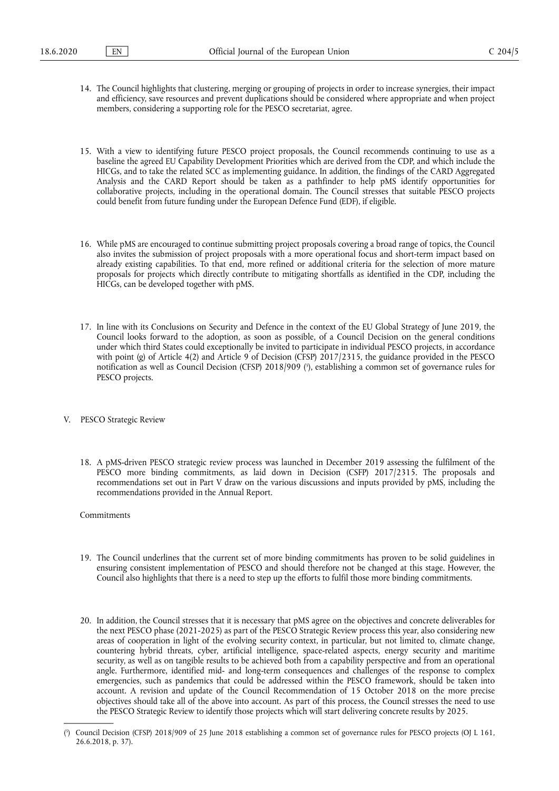- 14. The Council highlights that clustering, merging or grouping of projects in order to increase synergies, their impact and efficiency, save resources and prevent duplications should be considered where appropriate and when project members, considering a supporting role for the PESCO secretariat, agree.
- 15. With a view to identifying future PESCO project proposals, the Council recommends continuing to use as a baseline the agreed EU Capability Development Priorities which are derived from the CDP, and which include the HICGs, and to take the related SCC as implementing guidance. In addition, the findings of the CARD Aggregated Analysis and the CARD Report should be taken as a pathfinder to help pMS identify opportunities for collaborative projects, including in the operational domain. The Council stresses that suitable PESCO projects could benefit from future funding under the European Defence Fund (EDF), if eligible.
- 16. While pMS are encouraged to continue submitting project proposals covering a broad range of topics, the Council also invites the submission of project proposals with a more operational focus and short-term impact based on already existing capabilities. To that end, more refined or additional criteria for the selection of more mature proposals for projects which directly contribute to mitigating shortfalls as identified in the CDP, including the HICGs, can be developed together with pMS.
- <span id="page-4-1"></span>17. In line with its Conclusions on Security and Defence in the context of the EU Global Strategy of June 2019, the Council looks forward to the adoption, as soon as possible, of a Council Decision on the general conditions under which third States could exceptionally be invited to participate in individual PESCO projects, in accordance with point (g) of Article 4(2) and Article 9 of Decision (CFSP) 2017/2315, the guidance provided in the PESCO notification as well as Council Decision (CFSP) 2018/909 [\(](#page-4-0) 5 ), establishing a common set of governance rules for PESCO projects.
- V. PESCO Strategic Review
	- 18. A pMS-driven PESCO strategic review process was launched in December 2019 assessing the fulfilment of the PESCO more binding commitments, as laid down in Decision (CSFP) 2017/2315. The proposals and recommendations set out in Part V draw on the various discussions and inputs provided by pMS, including the recommendations provided in the Annual Report.
	- Commitments
	- 19. The Council underlines that the current set of more binding commitments has proven to be solid guidelines in ensuring consistent implementation of PESCO and should therefore not be changed at this stage. However, the Council also highlights that there is a need to step up the efforts to fulfil those more binding commitments.
	- 20. In addition, the Council stresses that it is necessary that pMS agree on the objectives and concrete deliverables for the next PESCO phase (2021-2025) as part of the PESCO Strategic Review process this year, also considering new areas of cooperation in light of the evolving security context, in particular, but not limited to, climate change, countering hybrid threats, cyber, artificial intelligence, space-related aspects, energy security and maritime security, as well as on tangible results to be achieved both from a capability perspective and from an operational angle. Furthermore, identified mid- and long-term consequences and challenges of the response to complex emergencies, such as pandemics that could be addressed within the PESCO framework, should be taken into account. A revision and update of the Council Recommendation of 15 October 2018 on the more precise objectives should take all of the above into account. As part of this process, the Council stresses the need to use the PESCO Strategic Review to identify those projects which will start delivering concrete results by 2025.

<span id="page-4-0"></span>[<sup>\(</sup>](#page-4-1) 5 ) Council Decision (CFSP) 2018/909 of 25 June 2018 establishing a common set of governance rules for PESCO projects (OJ L 161, 26.6.2018, p. 37).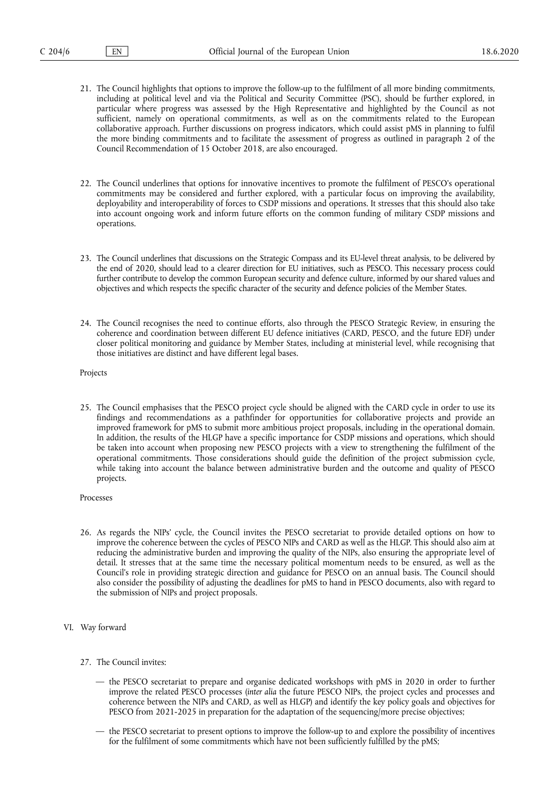- 21. The Council highlights that options to improve the follow-up to the fulfilment of all more binding commitments, including at political level and via the Political and Security Committee (PSC), should be further explored, in particular where progress was assessed by the High Representative and highlighted by the Council as not sufficient, namely on operational commitments, as well as on the commitments related to the European collaborative approach. Further discussions on progress indicators, which could assist pMS in planning to fulfil the more binding commitments and to facilitate the assessment of progress as outlined in paragraph 2 of the Council Recommendation of 15 October 2018, are also encouraged.
- 22. The Council underlines that options for innovative incentives to promote the fulfilment of PESCO's operational commitments may be considered and further explored, with a particular focus on improving the availability, deployability and interoperability of forces to CSDP missions and operations. It stresses that this should also take into account ongoing work and inform future efforts on the common funding of military CSDP missions and operations.
- 23. The Council underlines that discussions on the Strategic Compass and its EU-level threat analysis, to be delivered by the end of 2020, should lead to a clearer direction for EU initiatives, such as PESCO. This necessary process could further contribute to develop the common European security and defence culture, informed by our shared values and objectives and which respects the specific character of the security and defence policies of the Member States.
- 24. The Council recognises the need to continue efforts, also through the PESCO Strategic Review, in ensuring the coherence and coordination between different EU defence initiatives (CARD, PESCO, and the future EDF) under closer political monitoring and guidance by Member States, including at ministerial level, while recognising that those initiatives are distinct and have different legal bases.

Projects

- 25. The Council emphasises that the PESCO project cycle should be aligned with the CARD cycle in order to use its findings and recommendations as a pathfinder for opportunities for collaborative projects and provide an improved framework for pMS to submit more ambitious project proposals, including in the operational domain. In addition, the results of the HLGP have a specific importance for CSDP missions and operations, which should be taken into account when proposing new PESCO projects with a view to strengthening the fulfilment of the operational commitments. Those considerations should guide the definition of the project submission cycle, while taking into account the balance between administrative burden and the outcome and quality of PESCO projects.
- Processes
- 26. As regards the NIPs' cycle, the Council invites the PESCO secretariat to provide detailed options on how to improve the coherence between the cycles of PESCO NIPs and CARD as well as the HLGP. This should also aim at reducing the administrative burden and improving the quality of the NIPs, also ensuring the appropriate level of detail. It stresses that at the same time the necessary political momentum needs to be ensured, as well as the Council's role in providing strategic direction and guidance for PESCO on an annual basis. The Council should also consider the possibility of adjusting the deadlines for pMS to hand in PESCO documents, also with regard to the submission of NIPs and project proposals.
- VI. Way forward
	- 27. The Council invites:
		- the PESCO secretariat to prepare and organise dedicated workshops with pMS in 2020 in order to further improve the related PESCO processes (*inter alia* the future PESCO NIPs, the project cycles and processes and coherence between the NIPs and CARD, as well as HLGP) and identify the key policy goals and objectives for PESCO from 2021-2025 in preparation for the adaptation of the sequencing/more precise objectives;
		- the PESCO secretariat to present options to improve the follow-up to and explore the possibility of incentives for the fulfilment of some commitments which have not been sufficiently fulfilled by the pMS;